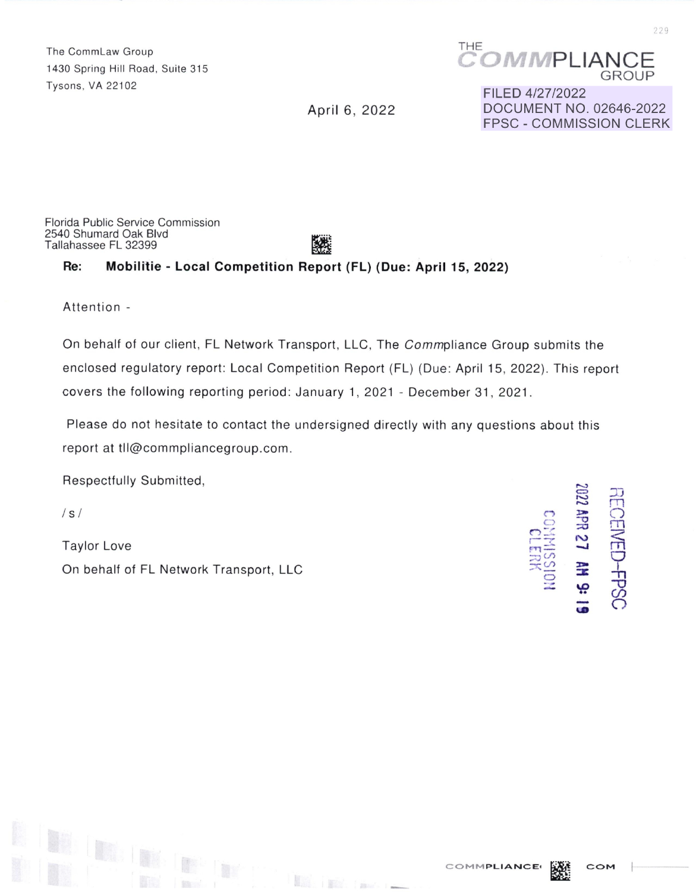The Commlaw Group 1430 Spring Hill Road, Suite 315 Tysons, VA 22102

THE **MIii PLIANCE**  GROUP

FILED 4/27/2022 April 6, 2022 DOCUMENT NO. 02646-2022 FPSC - COMMISSION CLERK

Florida Public Service Commission 2540 Shumard Oak Blvd Tallahassee FL 32399

### **Re: Mobilitie - Local Competition Report {FL) {Due: April 15, 2022)**

Attention -

On behalf of our client, FL Network Transport, LLC , The Commpliance Group submits the enclosed regulatory report: Local Competition Report (FL) (Due: April 15, 2022). This report covers the following reporting period: January 1, 2021 - December 31, 2021.

Please do not hesitate to contact the undersigned directly with any questions about this report at tll@commpliancegroup.com.

 $\mathbb{E}[\mathbb{S}]=\mathbb{E}[\mathbb{S}^2]$  . These

Respectfully Submitted,

 $\mathbb{R}$ in

 $\sqrt{s}$ 

Taylor Love On behalf of FL Network Transport, LLC